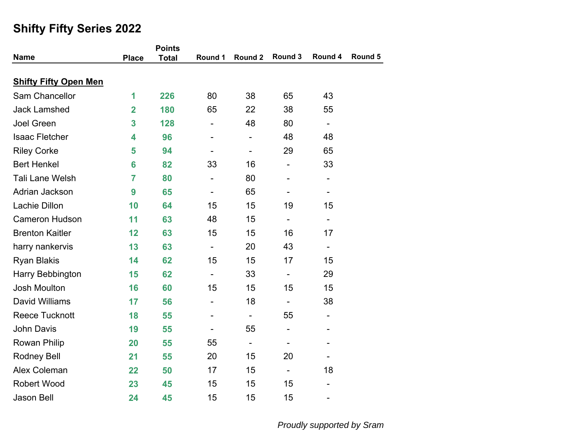| <b>Name</b>                  | <b>Place</b>            | <b>Points</b><br><b>Total</b> | Round 1                      | Round 2                  | Round 3                      | Round 4                      | Round 5 |
|------------------------------|-------------------------|-------------------------------|------------------------------|--------------------------|------------------------------|------------------------------|---------|
|                              |                         |                               |                              |                          |                              |                              |         |
| <b>Shifty Fifty Open Men</b> |                         |                               |                              |                          |                              |                              |         |
| Sam Chancellor               | 1                       | 226                           | 80                           | 38                       | 65                           | 43                           |         |
| <b>Jack Lamshed</b>          | $\overline{\mathbf{2}}$ | 180                           | 65                           | 22                       | 38                           | 55                           |         |
| <b>Joel Green</b>            | 3                       | 128                           | $\overline{\phantom{0}}$     | 48                       | 80                           | $\overline{\phantom{a}}$     |         |
| <b>Isaac Fletcher</b>        | 4                       | 96                            | $\overline{\phantom{0}}$     | $\overline{\phantom{0}}$ | 48                           | 48                           |         |
| <b>Riley Corke</b>           | 5                       | 94                            | $\qquad \qquad \blacksquare$ | $\overline{\phantom{a}}$ | 29                           | 65                           |         |
| <b>Bert Henkel</b>           | 6                       | 82                            | 33                           | 16                       | $\overline{\phantom{a}}$     | 33                           |         |
| <b>Tali Lane Welsh</b>       | $\overline{7}$          | 80                            | $\overline{\phantom{0}}$     | 80                       | $\qquad \qquad \blacksquare$ | $\qquad \qquad \blacksquare$ |         |
| Adrian Jackson               | 9                       | 65                            |                              | 65                       |                              |                              |         |
| Lachie Dillon                | 10                      | 64                            | 15                           | 15                       | 19                           | 15                           |         |
| <b>Cameron Hudson</b>        | 11                      | 63                            | 48                           | 15                       | $\overline{\phantom{a}}$     | $\overline{\phantom{0}}$     |         |
| <b>Brenton Kaitler</b>       | 12                      | 63                            | 15                           | 15                       | 16                           | 17                           |         |
| harry nankervis              | 13                      | 63                            | $\blacksquare$               | 20                       | 43                           | $\overline{\phantom{0}}$     |         |
| <b>Ryan Blakis</b>           | 14                      | 62                            | 15                           | 15                       | 17                           | 15                           |         |
| Harry Bebbington             | 15                      | 62                            | $\overline{\phantom{a}}$     | 33                       | $\overline{\phantom{a}}$     | 29                           |         |
| <b>Josh Moulton</b>          | 16                      | 60                            | 15                           | 15                       | 15                           | 15                           |         |
| David Williams               | 17                      | 56                            | $\overline{\phantom{0}}$     | 18                       | $\overline{\phantom{a}}$     | 38                           |         |
| <b>Reece Tucknott</b>        | 18                      | 55                            | $\overline{\phantom{0}}$     | $\blacksquare$           | 55                           | $\qquad \qquad \blacksquare$ |         |
| <b>John Davis</b>            | 19                      | 55                            | $\qquad \qquad \blacksquare$ | 55                       | $\qquad \qquad \blacksquare$ | ۰                            |         |
| <b>Rowan Philip</b>          | 20                      | 55                            | 55                           | $\blacksquare$           | $\overline{\phantom{a}}$     | -                            |         |
| <b>Rodney Bell</b>           | 21                      | 55                            | 20                           | 15                       | 20                           |                              |         |
| Alex Coleman                 | 22                      | 50                            | 17                           | 15                       | $\overline{\phantom{a}}$     | 18                           |         |
| <b>Robert Wood</b>           | 23                      | 45                            | 15                           | 15                       | 15                           | ÷,                           |         |
| <b>Jason Bell</b>            | 24                      | 45                            | 15                           | 15                       | 15                           | -                            |         |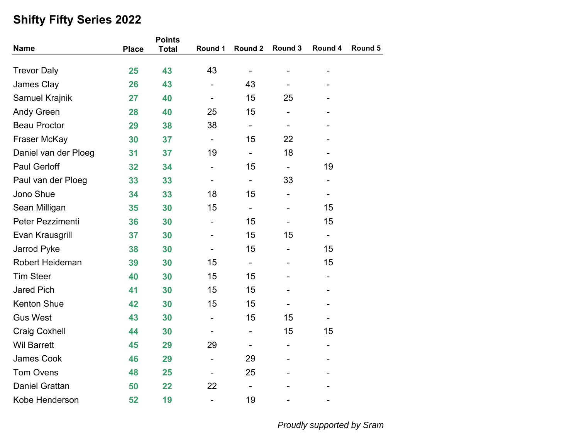|                       |              | <b>Points</b> |                              |                              |                              |                          |         |  |
|-----------------------|--------------|---------------|------------------------------|------------------------------|------------------------------|--------------------------|---------|--|
| <b>Name</b>           | <b>Place</b> | <b>Total</b>  | Round 1                      | Round 2                      | Round 3                      | Round 4                  | Round 5 |  |
| <b>Trevor Daly</b>    | 25           | 43            | 43                           | $\overline{\phantom{a}}$     |                              |                          |         |  |
| James Clay            | 26           | 43            |                              | 43                           |                              |                          |         |  |
| <b>Samuel Krajnik</b> | 27           | 40            | $\overline{\phantom{0}}$     | 15                           | 25                           |                          |         |  |
| <b>Andy Green</b>     | 28           | 40            | 25                           | 15                           | $\overline{\phantom{0}}$     |                          |         |  |
| <b>Beau Proctor</b>   | 29           | 38            | 38                           | $\qquad \qquad \blacksquare$ | $\qquad \qquad \blacksquare$ |                          |         |  |
| Fraser McKay          | 30           | 37            | $\overline{\phantom{a}}$     | 15                           | 22                           |                          |         |  |
| Daniel van der Ploeg  | 31           | 37            | 19                           | $\blacksquare$               | 18                           |                          |         |  |
| <b>Paul Gerloff</b>   | 32           | 34            | $\overline{\phantom{0}}$     | 15                           |                              | 19                       |         |  |
| Paul van der Ploeg    | 33           | 33            | -                            | $\blacksquare$               | 33                           | -                        |         |  |
| Jono Shue             | 34           | 33            | 18                           | 15                           | $\overline{\phantom{0}}$     | $\overline{\phantom{a}}$ |         |  |
| Sean Milligan         | 35           | 30            | 15                           | $\blacksquare$               |                              | 15                       |         |  |
| Peter Pezzimenti      | 36           | 30            |                              | 15                           |                              | 15                       |         |  |
| Evan Krausgrill       | 37           | 30            |                              | 15                           | 15                           | $\overline{\phantom{0}}$ |         |  |
| Jarrod Pyke           | 38           | 30            |                              | 15                           |                              | 15                       |         |  |
| Robert Heideman       | 39           | 30            | 15                           | $\qquad \qquad \blacksquare$ |                              | 15                       |         |  |
| <b>Tim Steer</b>      | 40           | 30            | 15                           | 15                           |                              | $\overline{\phantom{a}}$ |         |  |
| <b>Jared Pich</b>     | 41           | 30            | 15                           | 15                           |                              |                          |         |  |
| <b>Kenton Shue</b>    | 42           | 30            | 15                           | 15                           |                              |                          |         |  |
| <b>Gus West</b>       | 43           | 30            | $\qquad \qquad \blacksquare$ | 15                           | 15                           |                          |         |  |
| <b>Craig Coxhell</b>  | 44           | 30            |                              | $\overline{\phantom{0}}$     | 15                           | 15                       |         |  |
| <b>Wil Barrett</b>    | 45           | 29            | 29                           |                              | -                            |                          |         |  |
| James Cook            | 46           | 29            | $\overline{\phantom{0}}$     | 29                           |                              |                          |         |  |
| <b>Tom Ovens</b>      | 48           | 25            | $\qquad \qquad \blacksquare$ | 25                           |                              |                          |         |  |
| <b>Daniel Grattan</b> | 50           | 22            | 22                           | $\qquad \qquad \blacksquare$ |                              |                          |         |  |
| Kobe Henderson        | 52           | 19            | -                            | 19                           |                              |                          |         |  |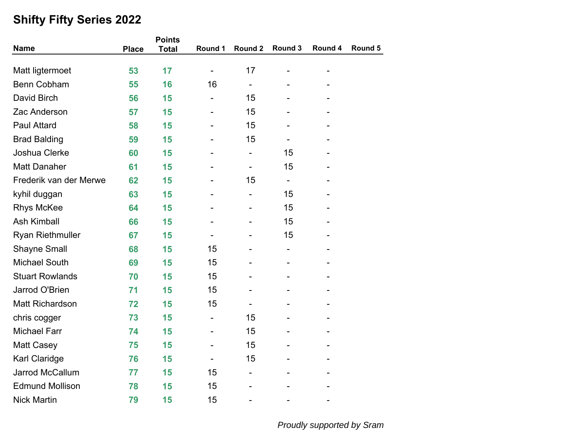|                         |              | <b>Points</b> |                          |                          |                          |         |         |
|-------------------------|--------------|---------------|--------------------------|--------------------------|--------------------------|---------|---------|
| <b>Name</b>             | <b>Place</b> | <b>Total</b>  | Round 1                  | Round 2                  | Round 3                  | Round 4 | Round 5 |
| Matt ligtermoet         | 53           | 17            | $\overline{\phantom{a}}$ | 17                       |                          |         |         |
| <b>Benn Cobham</b>      | 55           | 16            | 16                       | -                        |                          |         |         |
| David Birch             | 56           | 15            |                          | 15                       |                          |         |         |
| Zac Anderson            | 57           | 15            |                          | 15                       |                          |         |         |
| <b>Paul Attard</b>      | 58           | 15            |                          | 15                       |                          |         |         |
| <b>Brad Balding</b>     | 59           | 15            |                          | 15                       |                          |         |         |
| Joshua Clerke           | 60           | 15            |                          | $\overline{\phantom{0}}$ | 15                       |         |         |
| <b>Matt Danaher</b>     | 61           | 15            |                          | $\overline{\phantom{0}}$ | 15                       |         |         |
| Frederik van der Merwe  | 62           | 15            |                          | 15                       | $\overline{\phantom{a}}$ |         |         |
| kyhil duggan            | 63           | 15            |                          | -                        | 15                       |         |         |
| <b>Rhys McKee</b>       | 64           | 15            |                          |                          | 15                       |         |         |
| <b>Ash Kimball</b>      | 66           | 15            |                          |                          | 15                       |         |         |
| <b>Ryan Riethmuller</b> | 67           | 15            | -                        |                          | 15                       |         |         |
| <b>Shayne Small</b>     | 68           | 15            | 15                       |                          |                          |         |         |
| <b>Michael South</b>    | 69           | 15            | 15                       |                          |                          |         |         |
| <b>Stuart Rowlands</b>  | 70           | 15            | 15                       |                          |                          |         |         |
| Jarrod O'Brien          | 71           | 15            | 15                       |                          |                          |         |         |
| <b>Matt Richardson</b>  | 72           | 15            | 15                       | $\overline{\phantom{0}}$ |                          |         |         |
| chris cogger            | 73           | 15            |                          | 15                       |                          |         |         |
| <b>Michael Farr</b>     | 74           | 15            |                          | 15                       |                          |         |         |
| <b>Matt Casey</b>       | 75           | 15            |                          | 15                       |                          |         |         |
| Karl Claridge           | 76           | 15            |                          | 15                       |                          |         |         |
| Jarrod McCallum         | 77           | 15            | 15                       | -                        |                          |         |         |
| <b>Edmund Mollison</b>  | 78           | 15            | 15                       |                          |                          |         |         |
| <b>Nick Martin</b>      | 79           | 15            | 15                       | ۰                        |                          |         |         |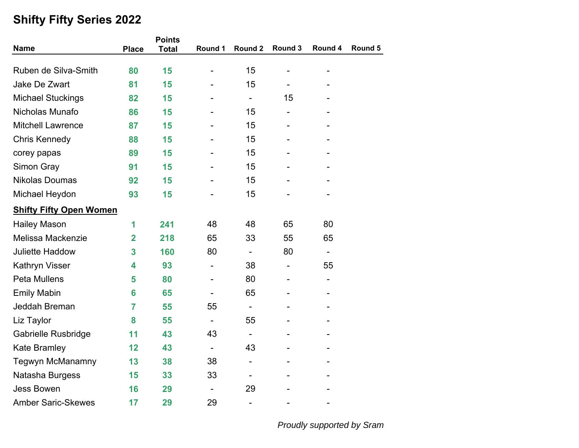| <b>Name</b>                    | <b>Place</b>   | <b>Points</b> | Round 1                      | Round 2                  | Round 3                  | Round 4        | Round 5 |
|--------------------------------|----------------|---------------|------------------------------|--------------------------|--------------------------|----------------|---------|
|                                |                | <b>Total</b>  |                              |                          |                          |                |         |
| Ruben de Silva-Smith           | 80             | 15            |                              | 15                       |                          |                |         |
| Jake De Zwart                  | 81             | 15            |                              | 15                       |                          |                |         |
| <b>Michael Stuckings</b>       | 82             | 15            |                              | $\overline{\phantom{0}}$ | 15                       |                |         |
| Nicholas Munafo                | 86             | 15            |                              | 15                       | $\overline{\phantom{0}}$ |                |         |
| <b>Mitchell Lawrence</b>       | 87             | 15            |                              | 15                       |                          |                |         |
| <b>Chris Kennedy</b>           | 88             | 15            |                              | 15                       |                          |                |         |
| corey papas                    | 89             | 15            |                              | 15                       |                          |                |         |
| <b>Simon Gray</b>              | 91             | 15            |                              | 15                       |                          |                |         |
| <b>Nikolas Doumas</b>          | 92             | 15            |                              | 15                       |                          |                |         |
| Michael Heydon                 | 93             | 15            |                              | 15                       |                          |                |         |
| <b>Shifty Fifty Open Women</b> |                |               |                              |                          |                          |                |         |
| <b>Hailey Mason</b>            | 1              | 241           | 48                           | 48                       | 65                       | 80             |         |
| Melissa Mackenzie              | $\overline{2}$ | 218           | 65                           | 33                       | 55                       | 65             |         |
| <b>Juliette Haddow</b>         | 3              | 160           | 80                           | $\frac{1}{2}$            | 80                       | ÷,             |         |
| <b>Kathryn Visser</b>          | 4              | 93            | -                            | 38                       | -                        | 55             |         |
| Peta Mullens                   | 5              | 80            |                              | 80                       |                          | -              |         |
| <b>Emily Mabin</b>             | 6              | 65            |                              | 65                       |                          | $\blacksquare$ |         |
| Jeddah Breman                  | $\overline{7}$ | 55            | 55                           | $\overline{\phantom{0}}$ |                          |                |         |
| Liz Taylor                     | 8              | 55            | $\overline{\phantom{a}}$     | 55                       |                          |                |         |
| Gabrielle Rusbridge            | 11             | 43            | 43                           | $\overline{\phantom{a}}$ |                          |                |         |
| <b>Kate Bramley</b>            | 12             | 43            |                              | 43                       |                          |                |         |
| Tegwyn McManamny               | 13             | 38            | 38                           | $\overline{\phantom{0}}$ |                          |                |         |
| Natasha Burgess                | 15             | 33            | 33                           | $\overline{\phantom{0}}$ |                          |                |         |
| <b>Jess Bowen</b>              | 16             | 29            | $\qquad \qquad \blacksquare$ | 29                       |                          |                |         |
| <b>Amber Saric-Skewes</b>      | 17             | 29            | 29                           | $\overline{\phantom{a}}$ |                          |                |         |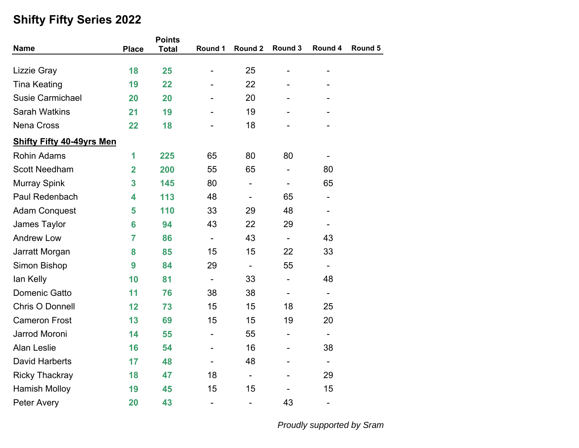|                                  |                | <b>Points</b> |                              |                          |                              |                              |         |  |
|----------------------------------|----------------|---------------|------------------------------|--------------------------|------------------------------|------------------------------|---------|--|
| <b>Name</b>                      | <b>Place</b>   | <b>Total</b>  | Round 1                      | Round 2                  | Round 3                      | Round 4                      | Round 5 |  |
| <b>Lizzie Gray</b>               | 18             | 25            | $\overline{\phantom{0}}$     | 25                       |                              |                              |         |  |
| <b>Tina Keating</b>              | 19             | 22            |                              | 22                       |                              |                              |         |  |
| <b>Susie Carmichael</b>          | 20             | 20            |                              | 20                       |                              |                              |         |  |
| <b>Sarah Watkins</b>             | 21             | 19            |                              | 19                       |                              |                              |         |  |
| <b>Nena Cross</b>                | 22             | 18            |                              | 18                       |                              |                              |         |  |
| <b>Shifty Fifty 40-49yrs Men</b> |                |               |                              |                          |                              |                              |         |  |
| <b>Rohin Adams</b>               | 1              | 225           | 65                           | 80                       | 80                           |                              |         |  |
| <b>Scott Needham</b>             | $\overline{2}$ | 200           | 55                           | 65                       | -                            | 80                           |         |  |
| <b>Murray Spink</b>              | 3              | 145           | 80                           | $\overline{\phantom{0}}$ | $\qquad \qquad \blacksquare$ | 65                           |         |  |
| Paul Redenbach                   | 4              | 113           | 48                           | $\overline{\phantom{0}}$ | 65                           | $\qquad \qquad \blacksquare$ |         |  |
| <b>Adam Conquest</b>             | 5              | 110           | 33                           | 29                       | 48                           |                              |         |  |
| James Taylor                     | 6              | 94            | 43                           | 22                       | 29                           |                              |         |  |
| <b>Andrew Low</b>                | $\overline{7}$ | 86            | $\overline{\phantom{a}}$     | 43                       | $\overline{\phantom{a}}$     | 43                           |         |  |
| Jarratt Morgan                   | 8              | 85            | 15                           | 15                       | 22                           | 33                           |         |  |
| Simon Bishop                     | 9              | 84            | 29                           | $\frac{1}{2}$            | 55                           | $\overline{\phantom{a}}$     |         |  |
| lan Kelly                        | 10             | 81            | $\blacksquare$               | 33                       | ÷,                           | 48                           |         |  |
| <b>Domenic Gatto</b>             | 11             | 76            | 38                           | 38                       | $\qquad \qquad \blacksquare$ | $\overline{\phantom{a}}$     |         |  |
| Chris O Donnell                  | 12             | 73            | 15                           | 15                       | 18                           | 25                           |         |  |
| <b>Cameron Frost</b>             | 13             | 69            | 15                           | 15                       | 19                           | 20                           |         |  |
| Jarrod Moroni                    | 14             | 55            | $\overline{\phantom{a}}$     | 55                       | -                            | $\overline{\phantom{a}}$     |         |  |
| <b>Alan Leslie</b>               | 16             | 54            | $\qquad \qquad \blacksquare$ | 16                       | -                            | 38                           |         |  |
| <b>David Harberts</b>            | 17             | 48            |                              | 48                       | $\blacksquare$               | $\overline{\phantom{a}}$     |         |  |
| <b>Ricky Thackray</b>            | 18             | 47            | 18                           | $\blacksquare$           |                              | 29                           |         |  |
| <b>Hamish Molloy</b>             | 19             | 45            | 15                           | 15                       |                              | 15                           |         |  |
| <b>Peter Avery</b>               | 20             | 43            | $\overline{\phantom{a}}$     | $\overline{\phantom{0}}$ | 43                           | $\overline{\phantom{a}}$     |         |  |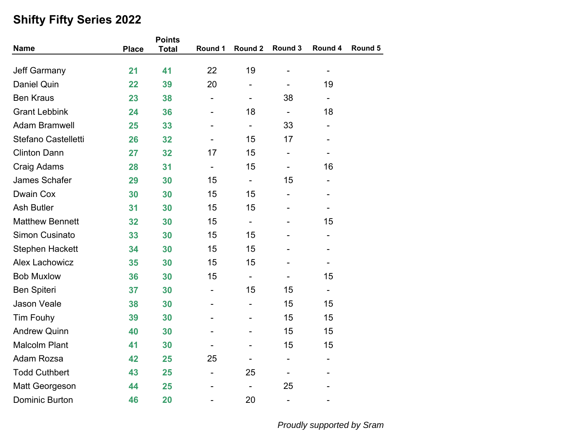|                        |              | <b>Points</b> |                          |                              |                          |                              |         |  |
|------------------------|--------------|---------------|--------------------------|------------------------------|--------------------------|------------------------------|---------|--|
| <b>Name</b>            | <b>Place</b> | <b>Total</b>  | Round 1                  | Round 2                      | Round 3                  | Round 4                      | Round 5 |  |
| <b>Jeff Garmany</b>    | 21           | 41            | 22                       | 19                           |                          | $\overline{\phantom{a}}$     |         |  |
| <b>Daniel Quin</b>     | 22           | 39            | 20                       | -                            |                          | 19                           |         |  |
| <b>Ben Kraus</b>       | 23           | 38            |                          | -                            | 38                       |                              |         |  |
| <b>Grant Lebbink</b>   | 24           | 36            |                          | 18                           | $\overline{\phantom{a}}$ | 18                           |         |  |
| <b>Adam Bramwell</b>   | 25           | 33            |                          | $\overline{\phantom{0}}$     | 33                       | $\qquad \qquad \blacksquare$ |         |  |
| Stefano Castelletti    | 26           | 32            |                          | 15                           | 17                       |                              |         |  |
| <b>Clinton Dann</b>    | 27           | 32            | 17                       | 15                           | -                        |                              |         |  |
| Craig Adams            | 28           | 31            | ÷,                       | 15                           | -                        | 16                           |         |  |
| James Schafer          | 29           | 30            | 15                       | $\qquad \qquad \blacksquare$ | 15                       | $\qquad \qquad \blacksquare$ |         |  |
| <b>Dwain Cox</b>       | 30           | 30            | 15                       | 15                           | -                        | $\qquad \qquad \blacksquare$ |         |  |
| <b>Ash Butler</b>      | 31           | 30            | 15                       | 15                           |                          |                              |         |  |
| <b>Matthew Bennett</b> | 32           | 30            | 15                       | $\qquad \qquad \blacksquare$ |                          | 15                           |         |  |
| <b>Simon Cusinato</b>  | 33           | 30            | 15                       | 15                           |                          | $\qquad \qquad \blacksquare$ |         |  |
| <b>Stephen Hackett</b> | 34           | 30            | 15                       | 15                           |                          |                              |         |  |
| <b>Alex Lachowicz</b>  | 35           | 30            | 15                       | 15                           |                          | $\qquad \qquad \blacksquare$ |         |  |
| <b>Bob Muxlow</b>      | 36           | 30            | 15                       | $\overline{\phantom{0}}$     |                          | 15                           |         |  |
| <b>Ben Spiteri</b>     | 37           | 30            |                          | 15                           | 15                       | $\qquad \qquad \blacksquare$ |         |  |
| Jason Veale            | 38           | 30            |                          | ÷,                           | 15                       | 15                           |         |  |
| <b>Tim Fouhy</b>       | 39           | 30            |                          |                              | 15                       | 15                           |         |  |
| <b>Andrew Quinn</b>    | 40           | 30            |                          |                              | 15                       | 15                           |         |  |
| <b>Malcolm Plant</b>   | 41           | 30            |                          |                              | 15                       | 15                           |         |  |
| Adam Rozsa             | 42           | 25            | 25                       |                              | -                        | $\qquad \qquad \blacksquare$ |         |  |
| <b>Todd Cuthbert</b>   | 43           | 25            | $\overline{\phantom{0}}$ | 25                           |                          |                              |         |  |
| <b>Matt Georgeson</b>  | 44           | 25            |                          |                              | 25                       |                              |         |  |
| <b>Dominic Burton</b>  | 46           | 20            |                          | 20                           | -                        |                              |         |  |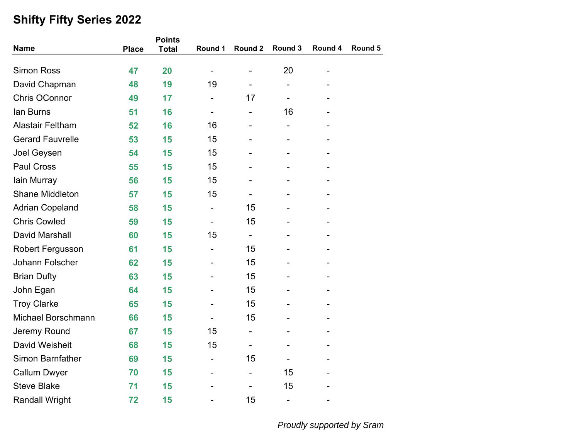|                           |              | <b>Points</b> |                          |                          |                              |                          |         |  |
|---------------------------|--------------|---------------|--------------------------|--------------------------|------------------------------|--------------------------|---------|--|
| <b>Name</b>               | <b>Place</b> | <b>Total</b>  | Round 1                  | Round 2                  | Round 3                      | Round 4                  | Round 5 |  |
| <b>Simon Ross</b>         | 47           | 20            | $\overline{\phantom{0}}$ |                          | 20                           | $\overline{\phantom{0}}$ |         |  |
| David Chapman             | 48           | 19            | 19                       |                          |                              |                          |         |  |
| <b>Chris OConnor</b>      | 49           | 17            | $\overline{\phantom{0}}$ | 17                       | ÷,                           |                          |         |  |
| lan Burns                 | 51           | 16            |                          |                          | 16                           |                          |         |  |
| <b>Alastair Feltham</b>   | 52           | 16            | 16                       |                          | -                            |                          |         |  |
| <b>Gerard Fauvrelle</b>   | 53           | 15            | 15                       |                          |                              |                          |         |  |
| Joel Geysen               | 54           | 15            | 15                       |                          |                              |                          |         |  |
| Paul Cross                | 55           | 15            | 15                       |                          |                              |                          |         |  |
| lain Murray               | 56           | 15            | 15                       |                          |                              |                          |         |  |
| <b>Shane Middleton</b>    | 57           | 15            | 15                       |                          |                              |                          |         |  |
| <b>Adrian Copeland</b>    | 58           | 15            |                          | 15                       |                              |                          |         |  |
| <b>Chris Cowled</b>       | 59           | 15            |                          | 15                       |                              |                          |         |  |
| David Marshall            | 60           | 15            | 15                       | $\overline{\phantom{0}}$ |                              |                          |         |  |
| <b>Robert Fergusson</b>   | 61           | 15            |                          | 15                       |                              |                          |         |  |
| Johann Folscher           | 62           | 15            |                          | 15                       |                              |                          |         |  |
| <b>Brian Dufty</b>        | 63           | 15            |                          | 15                       |                              |                          |         |  |
| John Egan                 | 64           | 15            |                          | 15                       |                              |                          |         |  |
| <b>Troy Clarke</b>        | 65           | 15            |                          | 15                       |                              |                          |         |  |
| <b>Michael Borschmann</b> | 66           | 15            |                          | 15                       |                              |                          |         |  |
| Jeremy Round              | 67           | 15            | 15                       | $\overline{\phantom{0}}$ |                              |                          |         |  |
| David Weisheit            | 68           | 15            | 15                       | $\overline{\phantom{a}}$ |                              |                          |         |  |
| <b>Simon Barnfather</b>   | 69           | 15            |                          | 15                       |                              |                          |         |  |
| <b>Callum Dwyer</b>       | 70           | 15            |                          | -                        | 15                           |                          |         |  |
| <b>Steve Blake</b>        | 71           | 15            |                          |                          | 15                           |                          |         |  |
| <b>Randall Wright</b>     | 72           | 15            |                          | 15                       | $\qquad \qquad \blacksquare$ |                          |         |  |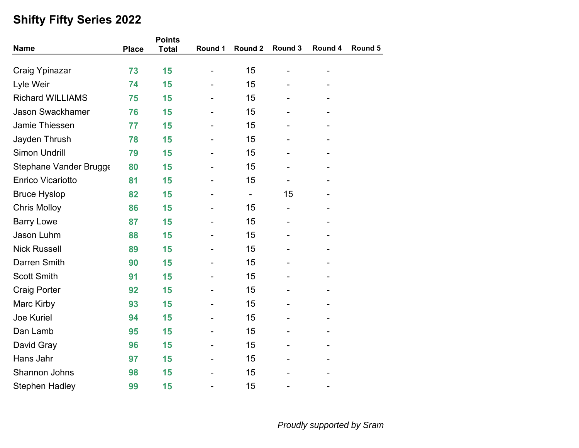|                          | <b>Points</b> |              |                          |                          |                              |                          |         |
|--------------------------|---------------|--------------|--------------------------|--------------------------|------------------------------|--------------------------|---------|
| <b>Name</b>              | <b>Place</b>  | <b>Total</b> | Round 1                  | Round 2                  | Round 3                      | Round 4                  | Round 5 |
| Craig Ypinazar           | 73            | 15           | $\overline{\phantom{a}}$ | 15                       |                              |                          |         |
| Lyle Weir                | 74            | 15           |                          | 15                       |                              |                          |         |
| <b>Richard WILLIAMS</b>  | 75            | 15           |                          | 15                       |                              |                          |         |
| <b>Jason Swackhamer</b>  | 76            | 15           |                          | 15                       |                              |                          |         |
| Jamie Thiessen           | 77            | 15           |                          | 15                       |                              |                          |         |
| Jayden Thrush            | 78            | 15           |                          | 15                       |                              |                          |         |
| <b>Simon Undrill</b>     | 79            | 15           |                          | 15                       |                              |                          |         |
| Stephane Vander Brugge   | 80            | 15           |                          | 15                       |                              |                          |         |
| <b>Enrico Vicariotto</b> | 81            | 15           |                          | 15                       | $\qquad \qquad \blacksquare$ | $\overline{\phantom{0}}$ |         |
| <b>Bruce Hyslop</b>      | 82            | 15           |                          | $\overline{\phantom{a}}$ | 15                           |                          |         |
| <b>Chris Molloy</b>      | 86            | 15           |                          | 15                       | $\qquad \qquad \blacksquare$ |                          |         |
| <b>Barry Lowe</b>        | 87            | 15           |                          | 15                       |                              |                          |         |
| Jason Luhm               | 88            | 15           |                          | 15                       |                              |                          |         |
| <b>Nick Russell</b>      | 89            | 15           |                          | 15                       |                              |                          |         |
| Darren Smith             | 90            | 15           |                          | 15                       |                              |                          |         |
| <b>Scott Smith</b>       | 91            | 15           |                          | 15                       |                              |                          |         |
| <b>Craig Porter</b>      | 92            | 15           |                          | 15                       |                              |                          |         |
| Marc Kirby               | 93            | 15           |                          | 15                       |                              |                          |         |
| Joe Kuriel               | 94            | 15           |                          | 15                       |                              |                          |         |
| Dan Lamb                 | 95            | 15           |                          | 15                       |                              |                          |         |
| David Gray               | 96            | 15           |                          | 15                       |                              |                          |         |
| Hans Jahr                | 97            | 15           |                          | 15                       |                              |                          |         |
| Shannon Johns            | 98            | 15           |                          | 15                       |                              |                          |         |
| <b>Stephen Hadley</b>    | 99            | 15           |                          | 15                       |                              |                          |         |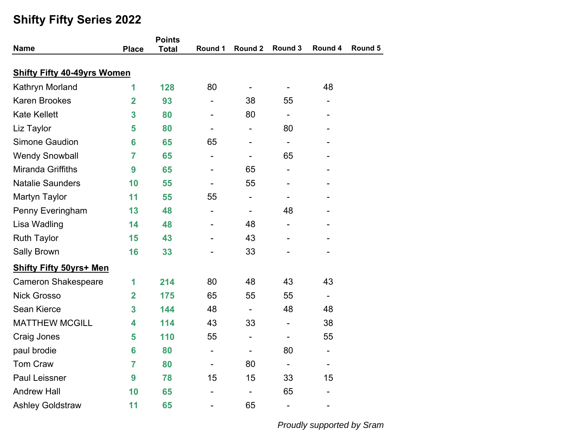| <b>Name</b>                        | <b>Place</b>            | <b>Points</b> | Round 1                      | Round 2                      | Round 3                      | Round 4                      | Round 5 |
|------------------------------------|-------------------------|---------------|------------------------------|------------------------------|------------------------------|------------------------------|---------|
|                                    |                         | <b>Total</b>  |                              |                              |                              |                              |         |
| <b>Shifty Fifty 40-49yrs Women</b> |                         |               |                              |                              |                              |                              |         |
| Kathryn Morland                    | 1                       | 128           | 80                           | $\overline{\phantom{a}}$     | $\overline{\phantom{0}}$     | 48                           |         |
| <b>Karen Brookes</b>               | $\overline{2}$          | 93            |                              | 38                           | 55                           | $\qquad \qquad \blacksquare$ |         |
| <b>Kate Kellett</b>                | 3                       | 80            |                              | 80                           | $\qquad \qquad \blacksquare$ |                              |         |
| Liz Taylor                         | 5                       | 80            | $\qquad \qquad \blacksquare$ | $\overline{\phantom{0}}$     | 80                           |                              |         |
| <b>Simone Gaudion</b>              | 6                       | 65            | 65                           | $\overline{\phantom{0}}$     | $\qquad \qquad \blacksquare$ |                              |         |
| <b>Wendy Snowball</b>              | 7                       | 65            | $\overline{\phantom{a}}$     | -                            | 65                           |                              |         |
| Miranda Griffiths                  | 9                       | 65            |                              | 65                           |                              |                              |         |
| <b>Natalie Saunders</b>            | 10                      | 55            |                              | 55                           |                              |                              |         |
| <b>Martyn Taylor</b>               | 11                      | 55            | 55                           | $\overline{\phantom{0}}$     | -                            |                              |         |
| Penny Everingham                   | 13                      | 48            |                              | $\overline{\phantom{0}}$     | 48                           |                              |         |
| Lisa Wadling                       | 14                      | 48            |                              | 48                           |                              |                              |         |
| <b>Ruth Taylor</b>                 | 15                      | 43            |                              | 43                           |                              |                              |         |
| <b>Sally Brown</b>                 | 16                      | 33            |                              | 33                           |                              |                              |         |
| <b>Shifty Fifty 50yrs+ Men</b>     |                         |               |                              |                              |                              |                              |         |
| <b>Cameron Shakespeare</b>         | 1                       | 214           | 80                           | 48                           | 43                           | 43                           |         |
| <b>Nick Grosso</b>                 | $\overline{\mathbf{2}}$ | 175           | 65                           | 55                           | 55                           | $\overline{\phantom{a}}$     |         |
| Sean Kierce                        | 3                       | 144           | 48                           | $\overline{a}$               | 48                           | 48                           |         |
| <b>MATTHEW MCGILL</b>              | 4                       | 114           | 43                           | 33                           | $\overline{\phantom{0}}$     | 38                           |         |
| Craig Jones                        | 5                       | 110           | 55                           | $\qquad \qquad \blacksquare$ | $\qquad \qquad \blacksquare$ | 55                           |         |
| paul brodie                        | 6                       | 80            | $\overline{\phantom{a}}$     | $\overline{\phantom{0}}$     | 80                           | $\qquad \qquad \blacksquare$ |         |
| <b>Tom Craw</b>                    | $\overline{7}$          | 80            | $\overline{\phantom{0}}$     | 80                           | $\overline{\phantom{0}}$     | $\qquad \qquad \blacksquare$ |         |
| <b>Paul Leissner</b>               | 9                       | 78            | 15                           | 15                           | 33                           | 15                           |         |
| <b>Andrew Hall</b>                 | 10                      | 65            |                              | -                            | 65                           |                              |         |
| <b>Ashley Goldstraw</b>            | 11                      | 65            |                              | 65                           | -                            | $\overline{a}$               |         |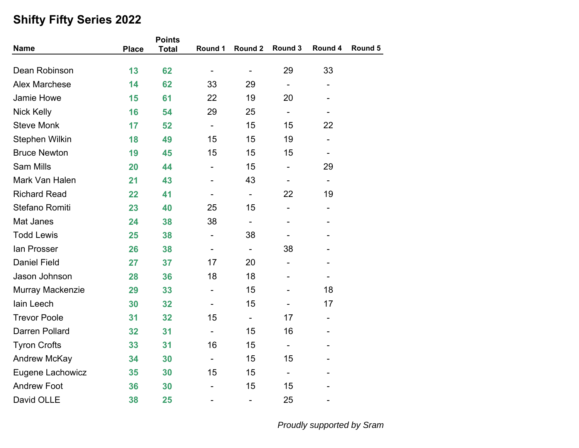|                       |              | <b>Points</b> |                              |                              |                          |                              |         |  |
|-----------------------|--------------|---------------|------------------------------|------------------------------|--------------------------|------------------------------|---------|--|
| <b>Name</b>           | <b>Place</b> | <b>Total</b>  | Round 1                      | Round 2                      | Round 3                  | Round 4                      | Round 5 |  |
| Dean Robinson         | 13           | 62            | $\qquad \qquad \blacksquare$ | $\overline{\phantom{a}}$     | 29                       | 33                           |         |  |
| <b>Alex Marchese</b>  | 14           | 62            | 33                           | 29                           | $\overline{\phantom{0}}$ | $\overline{\phantom{0}}$     |         |  |
| Jamie Howe            | 15           | 61            | 22                           | 19                           | 20                       |                              |         |  |
| <b>Nick Kelly</b>     | 16           | 54            | 29                           | 25                           | $\overline{\phantom{0}}$ |                              |         |  |
| <b>Steve Monk</b>     | 17           | 52            | $\overline{\phantom{a}}$     | 15                           | 15                       | 22                           |         |  |
| <b>Stephen Wilkin</b> | 18           | 49            | 15                           | 15                           | 19                       |                              |         |  |
| <b>Bruce Newton</b>   | 19           | 45            | 15                           | 15                           | 15                       |                              |         |  |
| <b>Sam Mills</b>      | 20           | 44            | $\overline{\phantom{0}}$     | 15                           | $\overline{\phantom{0}}$ | 29                           |         |  |
| Mark Van Halen        | 21           | 43            |                              | 43                           |                          | $\blacksquare$               |         |  |
| <b>Richard Read</b>   | 22           | 41            | $\blacksquare$               | $\blacksquare$               | 22                       | 19                           |         |  |
| Stefano Romiti        | 23           | 40            | 25                           | 15                           | $\overline{\phantom{0}}$ | $\qquad \qquad \blacksquare$ |         |  |
| Mat Janes             | 24           | 38            | 38                           | $\qquad \qquad \blacksquare$ |                          |                              |         |  |
| <b>Todd Lewis</b>     | 25           | 38            | $\qquad \qquad \blacksquare$ | 38                           | $\overline{\phantom{0}}$ |                              |         |  |
| <b>lan Prosser</b>    | 26           | 38            |                              | $\overline{\phantom{a}}$     | 38                       |                              |         |  |
| <b>Daniel Field</b>   | 27           | 37            | 17                           | 20                           | -                        |                              |         |  |
| Jason Johnson         | 28           | 36            | 18                           | 18                           |                          |                              |         |  |
| Murray Mackenzie      | 29           | 33            | $\overline{\phantom{0}}$     | 15                           |                          | 18                           |         |  |
| lain Leech            | 30           | 32            |                              | 15                           |                          | 17                           |         |  |
| <b>Trevor Poole</b>   | 31           | 32            | 15                           | $\blacksquare$               | 17                       | $\overline{\phantom{a}}$     |         |  |
| <b>Darren Pollard</b> | 32           | 31            | $\blacksquare$               | 15                           | 16                       |                              |         |  |
| <b>Tyron Crofts</b>   | 33           | 31            | 16                           | 15                           | ÷,                       |                              |         |  |
| Andrew McKay          | 34           | 30            | $\blacksquare$               | 15                           | 15                       |                              |         |  |
| Eugene Lachowicz      | 35           | 30            | 15                           | 15                           | $\overline{\phantom{0}}$ |                              |         |  |
| <b>Andrew Foot</b>    | 36           | 30            |                              | 15                           | 15                       |                              |         |  |
| David OLLE            | 38           | 25            | $\qquad \qquad \blacksquare$ | $\overline{\phantom{m}}$     | 25                       |                              |         |  |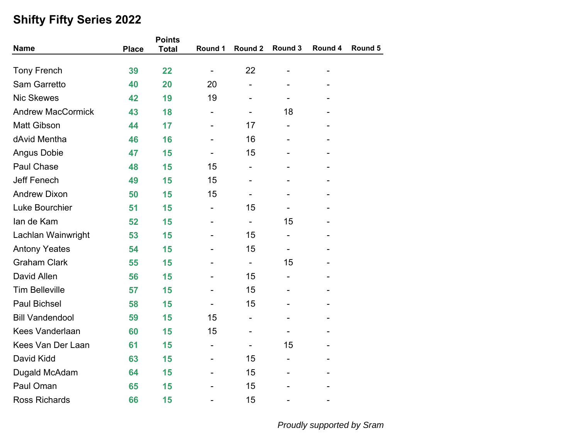| <b>Name</b>              |              | <b>Points</b> | Round 1                      | Round 2                      | Round 3 | Round 4 | Round 5 |
|--------------------------|--------------|---------------|------------------------------|------------------------------|---------|---------|---------|
|                          | <b>Place</b> | <b>Total</b>  |                              |                              |         |         |         |
| <b>Tony French</b>       | 39           | 22            | $\qquad \qquad \blacksquare$ | 22                           |         |         |         |
| <b>Sam Garretto</b>      | 40           | 20            | 20                           |                              |         |         |         |
| <b>Nic Skewes</b>        | 42           | 19            | 19                           |                              |         |         |         |
| <b>Andrew MacCormick</b> | 43           | 18            |                              | $\overline{\phantom{a}}$     | 18      |         |         |
| <b>Matt Gibson</b>       | 44           | 17            |                              | 17                           | -       |         |         |
| dAvid Mentha             | 46           | 16            |                              | 16                           |         |         |         |
| <b>Angus Dobie</b>       | 47           | 15            |                              | 15                           |         |         |         |
| Paul Chase               | 48           | 15            | 15                           | $\overline{\phantom{0}}$     |         |         |         |
| <b>Jeff Fenech</b>       | 49           | 15            | 15                           |                              |         |         |         |
| <b>Andrew Dixon</b>      | 50           | 15            | 15                           | $\overline{\phantom{a}}$     |         |         |         |
| Luke Bourchier           | 51           | 15            |                              | 15                           |         |         |         |
| lan de Kam               | 52           | 15            |                              | $\overline{\phantom{0}}$     | 15      |         |         |
| Lachlan Wainwright       | 53           | 15            |                              | 15                           | -       |         |         |
| <b>Antony Yeates</b>     | 54           | 15            |                              | 15                           |         |         |         |
| <b>Graham Clark</b>      | 55           | 15            |                              | $\overline{\phantom{a}}$     | 15      |         |         |
| David Allen              | 56           | 15            |                              | 15                           |         |         |         |
| <b>Tim Belleville</b>    | 57           | 15            |                              | 15                           |         |         |         |
| <b>Paul Bichsel</b>      | 58           | 15            |                              | 15                           |         |         |         |
| <b>Bill Vandendool</b>   | 59           | 15            | 15                           | $\qquad \qquad \blacksquare$ |         |         |         |
| <b>Kees Vanderlaan</b>   | 60           | 15            | 15                           |                              |         |         |         |
| <b>Kees Van Der Laan</b> | 61           | 15            |                              |                              | 15      |         |         |
| David Kidd               | 63           | 15            |                              | 15                           |         |         |         |
| Dugald McAdam            | 64           | 15            |                              | 15                           |         |         |         |
| Paul Oman                | 65           | 15            |                              | 15                           |         |         |         |
| <b>Ross Richards</b>     | 66           | 15            |                              | 15                           |         |         |         |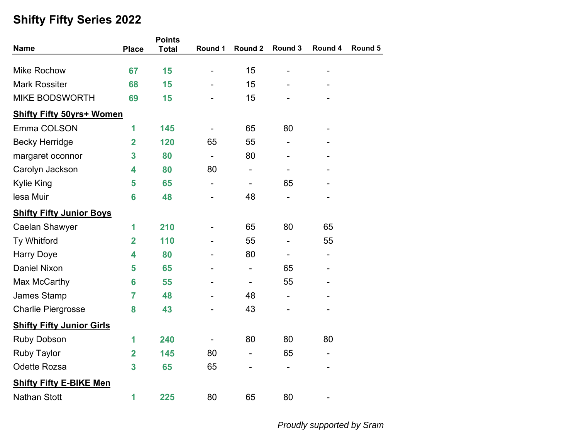|                                  |                         | <b>Points</b> |                              |                          |                          |                              |         |
|----------------------------------|-------------------------|---------------|------------------------------|--------------------------|--------------------------|------------------------------|---------|
| <b>Name</b>                      | <b>Place</b>            | <b>Total</b>  | Round 1                      | Round 2                  | Round 3                  | Round 4                      | Round 5 |
| <b>Mike Rochow</b>               | 67                      | 15            | $\overline{\phantom{0}}$     | 15                       |                          | $\overline{\phantom{0}}$     |         |
| <b>Mark Rossiter</b>             | 68                      | 15            |                              | 15                       |                          |                              |         |
| <b>MIKE BODSWORTH</b>            | 69                      | 15            |                              | 15                       |                          |                              |         |
|                                  |                         |               |                              |                          |                          |                              |         |
| <b>Shifty Fifty 50yrs+ Women</b> |                         |               |                              |                          |                          |                              |         |
| Emma COLSON                      | 1                       | 145           |                              | 65                       | 80                       |                              |         |
| <b>Becky Herridge</b>            | $\overline{\mathbf{2}}$ | 120           | 65                           | 55                       |                          |                              |         |
| margaret oconnor                 | 3                       | 80            | $\overline{\phantom{0}}$     | 80                       |                          |                              |         |
| Carolyn Jackson                  | 4                       | 80            | 80                           | $\overline{\phantom{m}}$ |                          |                              |         |
| <b>Kylie King</b>                | 5                       | 65            | $\qquad \qquad \blacksquare$ | $\overline{\phantom{a}}$ | 65                       |                              |         |
| lesa Muir                        | 6                       | 48            |                              | 48                       |                          |                              |         |
| <b>Shifty Fifty Junior Boys</b>  |                         |               |                              |                          |                          |                              |         |
| <b>Caelan Shawyer</b>            | 1                       | 210           |                              | 65                       | 80                       | 65                           |         |
| Ty Whitford                      | $\overline{2}$          | 110           |                              | 55                       | -                        | 55                           |         |
| <b>Harry Doye</b>                | 4                       | 80            |                              | 80                       | ÷,                       | $\overline{\phantom{0}}$     |         |
| <b>Daniel Nixon</b>              | 5                       | 65            |                              | $\overline{\phantom{a}}$ | 65                       |                              |         |
| Max McCarthy                     | 6                       | 55            |                              | $\overline{\phantom{a}}$ | 55                       |                              |         |
| James Stamp                      | 7                       | 48            |                              | 48                       | $\overline{\phantom{0}}$ |                              |         |
| <b>Charlie Piergrosse</b>        | 8                       | 43            |                              | 43                       |                          |                              |         |
| <b>Shifty Fifty Junior Girls</b> |                         |               |                              |                          |                          |                              |         |
| <b>Ruby Dobson</b>               | 1                       | 240           |                              | 80                       | 80                       | 80                           |         |
| <b>Ruby Taylor</b>               | $\overline{\mathbf{2}}$ | 145           | 80                           | $\overline{\phantom{a}}$ | 65                       | $\qquad \qquad \blacksquare$ |         |
| <b>Odette Rozsa</b>              | 3                       | 65            | 65                           |                          |                          |                              |         |
| <b>Shifty Fifty E-BIKE Men</b>   |                         |               |                              |                          |                          |                              |         |
| <b>Nathan Stott</b>              | 1                       | 225           | 80                           | 65                       | 80                       |                              |         |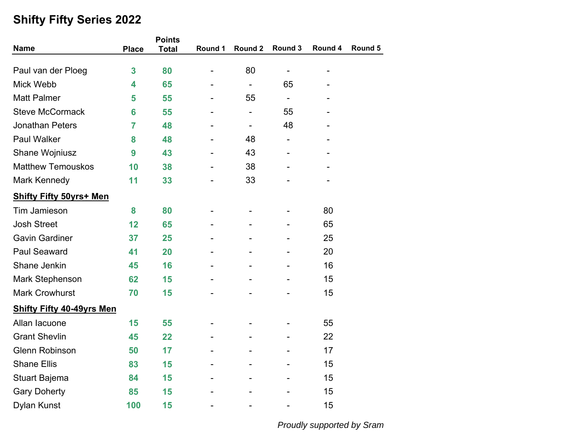|                                  |                | <b>Points</b> |                |                          |                              |                              |         |
|----------------------------------|----------------|---------------|----------------|--------------------------|------------------------------|------------------------------|---------|
| <b>Name</b>                      | <b>Place</b>   | <b>Total</b>  | Round 1        | Round 2                  | Round 3                      | Round 4                      | Round 5 |
| Paul van der Ploeg               | 3              | 80            | $\overline{a}$ | 80                       | -                            | $\qquad \qquad \blacksquare$ |         |
| Mick Webb                        | 4              | 65            |                | $\blacksquare$           | 65                           |                              |         |
| <b>Matt Palmer</b>               | 5              | 55            |                | 55                       | $\qquad \qquad \blacksquare$ |                              |         |
| <b>Steve McCormack</b>           | 6              | 55            |                | $\overline{\phantom{a}}$ | 55                           |                              |         |
| <b>Jonathan Peters</b>           | $\overline{7}$ | 48            |                | $\overline{\phantom{a}}$ | 48                           |                              |         |
| <b>Paul Walker</b>               | 8              | 48            |                | 48                       | -                            |                              |         |
| Shane Wojniusz                   | 9              | 43            |                | 43                       |                              |                              |         |
| <b>Matthew Temouskos</b>         | 10             | 38            |                | 38                       |                              |                              |         |
| Mark Kennedy                     | 11             | 33            |                | 33                       |                              |                              |         |
| <b>Shifty Fifty 50yrs+ Men</b>   |                |               |                |                          |                              |                              |         |
| Tim Jamieson                     | 8              | 80            |                |                          |                              | 80                           |         |
| <b>Josh Street</b>               | 12             | 65            |                |                          |                              | 65                           |         |
| <b>Gavin Gardiner</b>            | 37             | 25            |                |                          |                              | 25                           |         |
| <b>Paul Seaward</b>              | 41             | 20            |                |                          |                              | 20                           |         |
| Shane Jenkin                     | 45             | 16            |                |                          |                              | 16                           |         |
| <b>Mark Stephenson</b>           | 62             | 15            |                |                          |                              | 15                           |         |
| <b>Mark Crowhurst</b>            | 70             | 15            |                |                          |                              | 15                           |         |
| <b>Shifty Fifty 40-49yrs Men</b> |                |               |                |                          |                              |                              |         |
| Allan lacuone                    | 15             | 55            |                |                          |                              | 55                           |         |
| <b>Grant Shevlin</b>             | 45             | 22            |                |                          |                              | 22                           |         |
| <b>Glenn Robinson</b>            | 50             | 17            |                |                          |                              | 17                           |         |
| <b>Shane Ellis</b>               | 83             | 15            |                |                          |                              | 15                           |         |
| Stuart Bajema                    | 84             | 15            |                |                          |                              | 15                           |         |
| <b>Gary Doherty</b>              | 85             | 15            |                |                          |                              | 15                           |         |
| <b>Dylan Kunst</b>               | 100            | 15            |                |                          |                              | 15                           |         |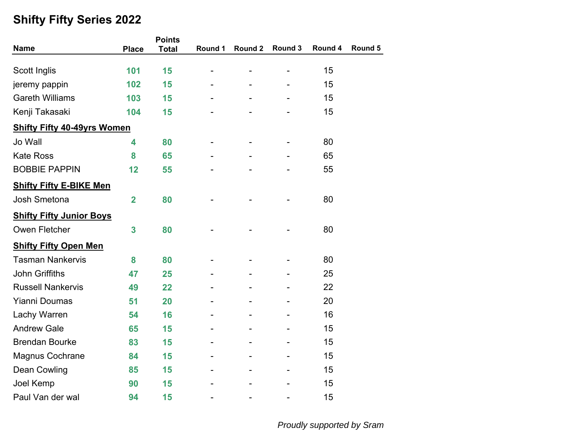|                                    |                         | <b>Points</b> |         |         |         |         |         |
|------------------------------------|-------------------------|---------------|---------|---------|---------|---------|---------|
| <b>Name</b>                        | <b>Place</b>            | <b>Total</b>  | Round 1 | Round 2 | Round 3 | Round 4 | Round 5 |
|                                    |                         |               |         |         |         |         |         |
| Scott Inglis                       | 101                     | 15            |         |         |         | 15      |         |
| jeremy pappin                      | 102                     | 15            |         |         |         | 15      |         |
| <b>Gareth Williams</b>             | 103                     | 15            |         |         |         | 15      |         |
| Kenji Takasaki                     | 104                     | 15            |         |         |         | 15      |         |
| <b>Shifty Fifty 40-49yrs Women</b> |                         |               |         |         |         |         |         |
| Jo Wall                            | 4                       | 80            |         |         |         | 80      |         |
| <b>Kate Ross</b>                   | 8                       | 65            |         |         |         | 65      |         |
| <b>BOBBIE PAPPIN</b>               | 12                      | 55            |         |         |         | 55      |         |
| <b>Shifty Fifty E-BIKE Men</b>     |                         |               |         |         |         |         |         |
| Josh Smetona                       | $\overline{\mathbf{2}}$ | 80            |         |         |         | 80      |         |
| <b>Shifty Fifty Junior Boys</b>    |                         |               |         |         |         |         |         |
| Owen Fletcher                      | 3                       | 80            |         |         |         | 80      |         |
| <b>Shifty Fifty Open Men</b>       |                         |               |         |         |         |         |         |
| <b>Tasman Nankervis</b>            | 8                       | 80            |         |         |         | 80      |         |
| <b>John Griffiths</b>              | 47                      | 25            |         |         |         | 25      |         |
| <b>Russell Nankervis</b>           | 49                      | 22            |         |         |         | 22      |         |
| <b>Yianni Doumas</b>               | 51                      | 20            |         |         |         | 20      |         |
| Lachy Warren                       | 54                      | 16            |         |         |         | 16      |         |
| <b>Andrew Gale</b>                 | 65                      | 15            |         |         |         | 15      |         |
| <b>Brendan Bourke</b>              | 83                      | 15            |         |         |         | 15      |         |
| <b>Magnus Cochrane</b>             | 84                      | 15            |         |         |         | 15      |         |
| <b>Dean Cowling</b>                | 85                      | 15            |         |         |         | 15      |         |
| Joel Kemp                          | 90                      | 15            |         |         |         | 15      |         |
| Paul Van der wal                   | 94                      | 15            |         |         |         | 15      |         |